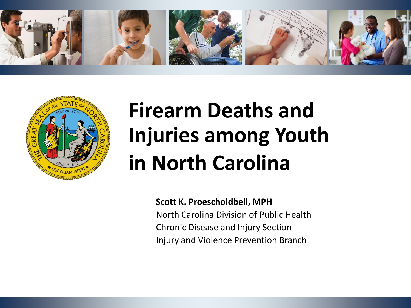



# **Firearm Deaths and Injuries among Youth in North Carolina**

**Scott K. Proescholdbell, MPH** North Carolina Division of Public Health Chronic Disease and Injury Section Injury and Violence Prevention Branch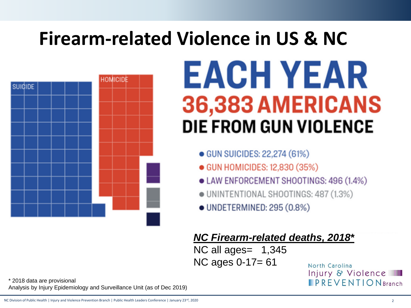# **Firearm-related Violence in US & NC**



# EACH YEAR 36,383 AMERICANS **DIE FROM GUN VIOLENCE**

- GUN SUICIDES: 22.274 (61%)
- GUN HOMICIDES: 12,830 (35%)
- LAW ENFORCEMENT SHOOTINGS: 496 (1.4%)
- · UNINTENTIONAL SHOOTINGS: 487 (1.3%)
- UNDETERMINED: 295 (0.8%)

#### *NC Firearm-related deaths, 2018\**

NC all ages= 1,345 NC ages 0-17= 61

North Carolina Injury & Violence **IPREVENTION** Branch

\* 2018 data are provisional Analysis by Injury Epidemiology and Surveillance Unit (as of Dec 2019)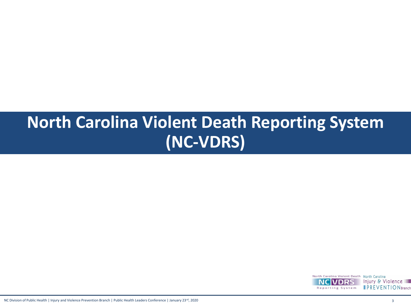### **North Carolina Violent Death Reporting System (NC-VDRS)**

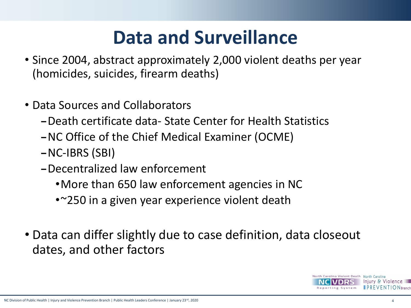## **Data and Surveillance**

- Since 2004, abstract approximately 2,000 violent deaths per year (homicides, suicides, firearm deaths)
- Data Sources and Collaborators
	- –Death certificate data- State Center for Health Statistics
	- –NC Office of the Chief Medical Examiner (OCME)
	- –NC-IBRS (SBI)
	- –Decentralized law enforcement
		- •More than 650 law enforcement agencies in NC
		- •~250 in a given year experience violent death
- Data can differ slightly due to case definition, data closeout dates, and other factors

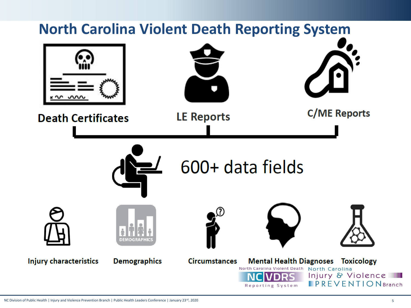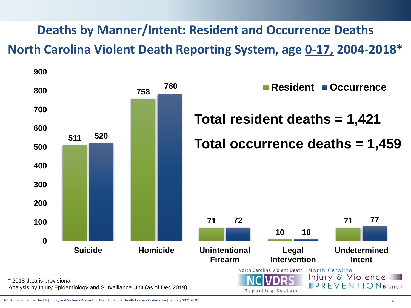#### **Deaths by Manner/Intent: Resident and Occurrence Deaths North Carolina Violent Death Reporting System, age 0-17, 2004-2018\***



NC Division of Public Health | Injury and Violence Prevention Branch | Public Health Leaders Conference | January 23<sup>rd</sup>, 2020 6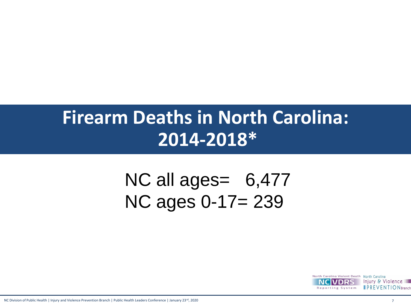### **Firearm Deaths in North Carolina: 2014-2018\***

## NC all ages= 6,477 NC ages 0-17= 239



NC Division of Public Health | Injury and Violence Prevention Branch | Public Health Leaders Conference | January 23<sup>rd</sup>, 2020 7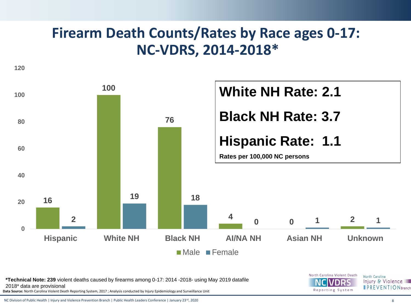#### **Firearm Death Counts/Rates by Race ages 0-17: NC-VDRS, 2014-2018\***



**\*Technical Note: 239** violent deaths caused by firearms among 0-17: 2014 -2018- using May 2019 datafile 2018\* data are provisional

**Data Source:** North Carolina Violent Death Reporting System, 2017 ; Analysis conducted by Injury Epidemiology and Surveillance Unit

NC Division of Public Health | Injury and Violence Prevention Branch | Public Health Leaders Conference | January 23<sup>rd</sup>, 2020 8

Injury & Violence **IPREVENTIONBranch** 

North Carolina

North Carolina Violent Death

Reporting System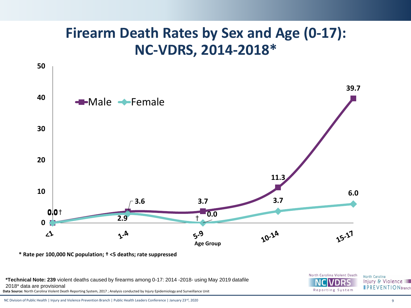#### **Firearm Death Rates by Sex and Age (0-17): NC-VDRS, 2014-2018\***



**\* Rate per 100,000 NC population; † <5 deaths; rate suppressed**

**Data Source:** North Carolina Violent Death Reporting System, 2017 ; Analysis conducted by Injury Epidemiology and Surveillance Unit **\*Technical Note: 239** violent deaths caused by firearms among 0-17: 2014 -2018- using May 2019 datafile 2018\* data are provisional



Injury & Violence **IPREVENTIONBranch**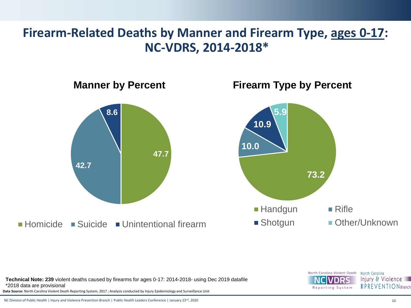#### **Firearm-Related Deaths by Manner and Firearm Type, ages 0-17: NC-VDRS, 2014-2018\***



**Data Source:** North Carolina Violent Death Reporting System, 2017 ; Analysis conducted by Injury Epidemiology and Surveillance Unit **Technical Note: 239** violent deaths caused by firearms for ages 0-17: 2014-2018- using Dec 2019 datafile \*2018 data are provisional



NC Division of Public Health | Injury and Violence Prevention Branch | Public Health Leaders Conference | January 23rd, 2020 10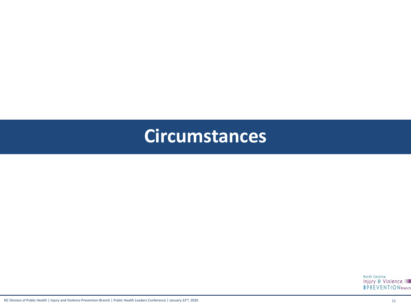#### **Circumstances**

North Carolina<br>Injury & Violence **IPREVENTIONBranch**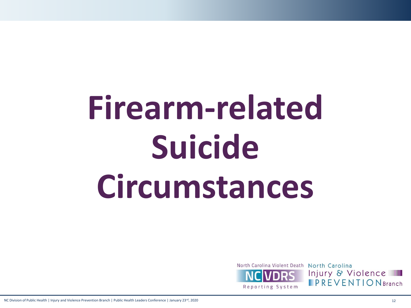# **Firearm-related Suicide Circumstances**

Reporting System

North Carolina Violent Death North Carolina Injury & Violence  $IPREVENTION Branch$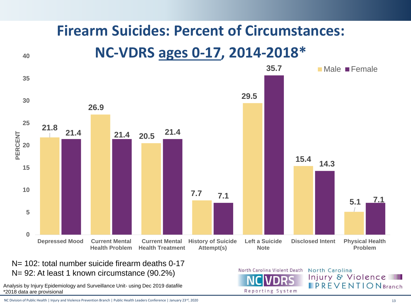## **Firearm Suicides: Percent of Circumstances:**

#### **NC-VDRS ages 0-17, 2014-2018\***



N= 102: total number suicide firearm deaths 0-17 N= 92: At least 1 known circumstance (90.2%)

Analysis by Injury Epidemiology and Surveillance Unit- using Dec 2019 datafile \*2018 data are provisional

**40**

NC Division of Public Health | Injury and Violence Prevention Branch | Public Health Leaders Conference | January 23<sup>rd</sup>, 2020 13

North Carolina Violent Death

Reporting System

North Carolina Injury & Violence **IPREVENTION** Branch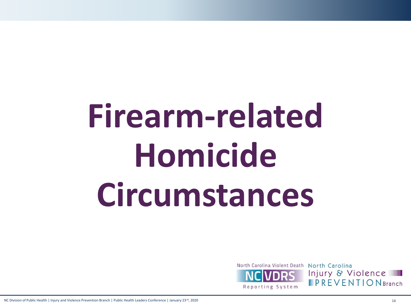# **Firearm-related Homicide Circumstances**

Reporting System

North Carolina Violent Death North Carolina Injury & Violence  $IPREVENTION Branch$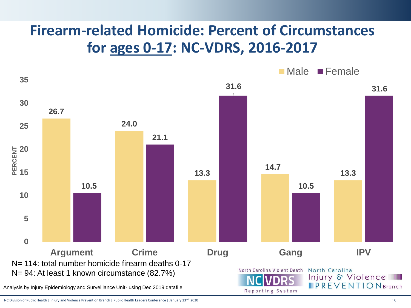#### **Firearm-related Homicide: Percent of Circumstances for ages 0-17: NC-VDRS, 2016-2017**



NC Division of Public Health | Injury and Violence Prevention Branch | Public Health Leaders Conference | January 23<sup>rd</sup>, 2020 15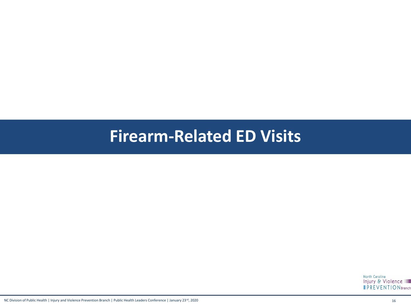#### **Firearm-Related ED Visits**

North Carolina Injury & Violence **IPREVENTIONBranch**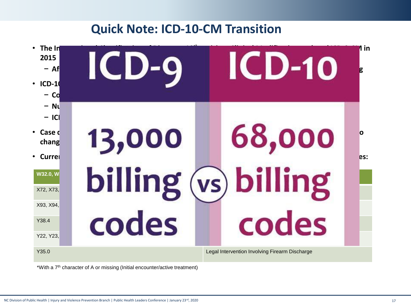#### **Quick Note: ICD-10-CM Transition**



\*With a 7th character of A or missing (Initial encounter/active treatment)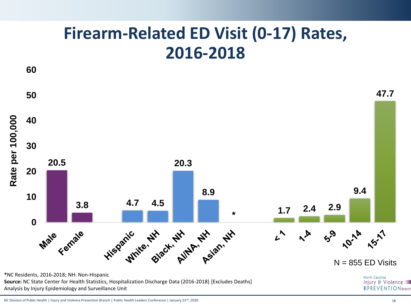#### **Firearm-Related ED Visit (0-17) Rates, 2016-2018**



NC Division of Public Health | Injury and Violence Prevention Branch | Public Health Leaders Conference | January 23<sup>rd</sup>, 2020 18 18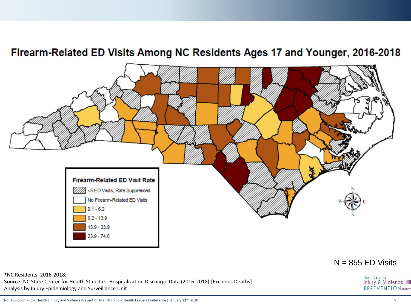#### Firearm-Related ED Visits Among NC Residents Ages 17 and Younger, 2016-2018



#### $N = 855$  ED Visits

North Carolina

**\***NC Residents, 2016-2018; **Source:** NC State Center for Health Statistics, Hospitalization Discharge Data (2016-2018) [Excludes Deaths] Analysis by Injury Epidemiology and Surveillance Unit

Injury & Violence

NC Division of Public Health | Injury and Violence Prevention Branch | Public Health Leaders Conference | January 23rd, 2020 19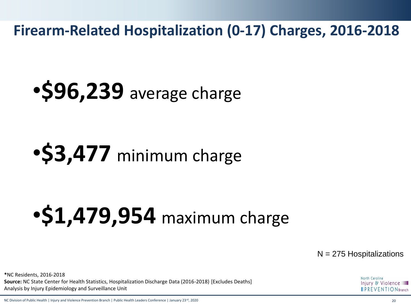**Firearm-Related Hospitalization (0-17) Charges, 2016-2018**

•**\$96,239** average charge

## •**\$3,477** minimum charge

# •**\$1,479,954** maximum charge

 $N = 275$  Hospitalizations

**\***NC Residents, 2016-2018 **Source:** NC State Center for Health Statistics, Hospitalization Discharge Data (2016-2018) [Excludes Deaths] Analysis by Injury Epidemiology and Surveillance Unit

North Carolina Injury & Violence  $\blacksquare$  PREVENTION Branch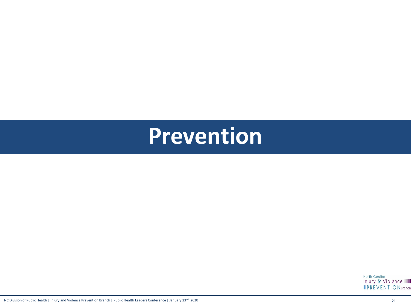## **Prevention**

North Carolina<br>Injury & Violence **IPREVENTIONBranch**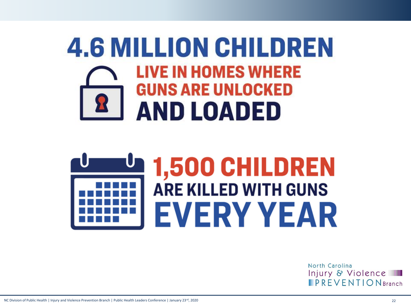## **4.6 MILLION CHILDREN LIVE IN HOMES WHERE GUNS ARE UNLOCKED AND LOADED**

# 1,500 CHILDREN **ARE KILLED WITH GUNS EVERY YEAR**

North Carolina Injury & Violence  $\blacksquare$  PREVENTION Branch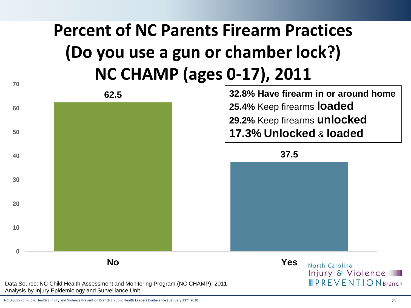## **Percent of NC Parents Firearm Practices (Do you use a gun or chamber lock?) NC CHAMP (ages 0-17), 2011**

**70 32.8% Have firearm in or around home 62.5 25.4%** Keep firearms **loaded 60 29.2%** Keep firearms **unlocked 17.3% Unlocked** & **loaded 50 37.5 40 30 20 10 0 No Yes**North Carolina Injury & Violence **IPREVENTION** Branch

Data Source: NC Child Health Assessment and Monitoring Program (NC CHAMP), 2011 Analysis by Injury Epidemiology and Surveillance Unit